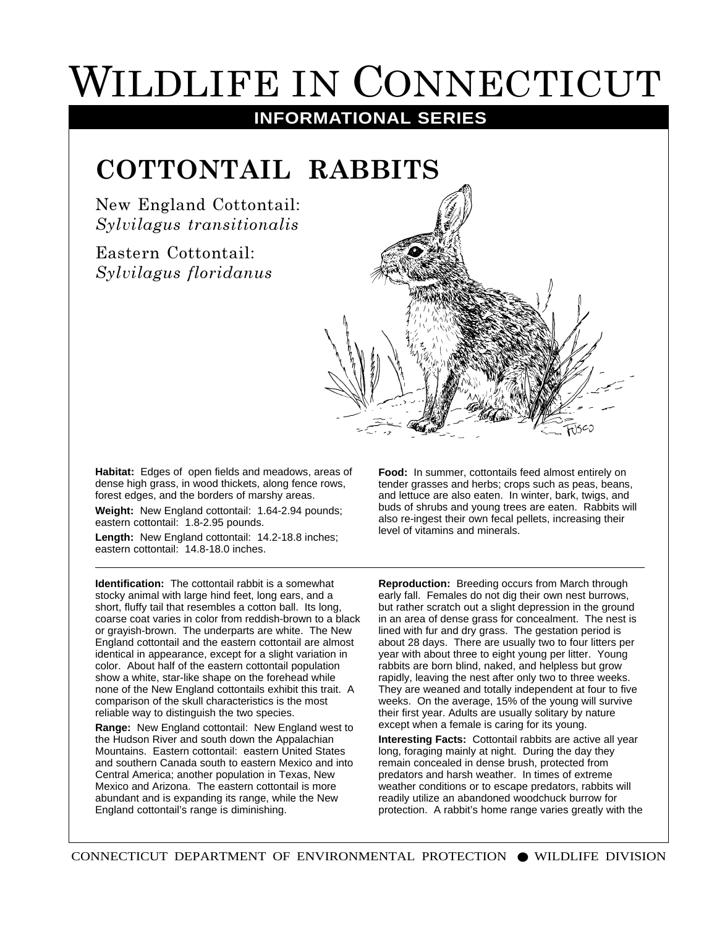## WILDLIFE IN CONNECTICUT

## **INFORMATIONAL SERIES**

## **COTTONTAIL RABBITS**

New England Cottontail: *Sylvilagus transitionalis*

Eastern Cottontail: *Sylvilagus floridanus*



**Habitat:** Edges of open fields and meadows, areas of dense high grass, in wood thickets, along fence rows, forest edges, and the borders of marshy areas.

**Weight:** New England cottontail: 1.64-2.94 pounds; eastern cottontail: 1.8-2.95 pounds.

**Length:** New England cottontail: 14.2-18.8 inches; eastern cottontail: 14.8-18.0 inches.

**Identification:** The cottontail rabbit is a somewhat stocky animal with large hind feet, long ears, and a short, fluffy tail that resembles a cotton ball. Its long, coarse coat varies in color from reddish-brown to a black or grayish-brown. The underparts are white. The New England cottontail and the eastern cottontail are almost identical in appearance, except for a slight variation in color. About half of the eastern cottontail population show a white, star-like shape on the forehead while none of the New England cottontails exhibit this trait. A comparison of the skull characteristics is the most reliable way to distinguish the two species.

**Range:** New England cottontail: New England west to the Hudson River and south down the Appalachian Mountains. Eastern cottontail: eastern United States and southern Canada south to eastern Mexico and into Central America; another population in Texas, New Mexico and Arizona. The eastern cottontail is more abundant and is expanding its range, while the New England cottontail's range is diminishing.

**Food:** In summer, cottontails feed almost entirely on tender grasses and herbs; crops such as peas, beans, and lettuce are also eaten. In winter, bark, twigs, and buds of shrubs and young trees are eaten. Rabbits will also re-ingest their own fecal pellets, increasing their level of vitamins and minerals.

**Reproduction:** Breeding occurs from March through early fall. Females do not dig their own nest burrows, but rather scratch out a slight depression in the ground in an area of dense grass for concealment. The nest is lined with fur and dry grass. The gestation period is about 28 days. There are usually two to four litters per year with about three to eight young per litter. Young rabbits are born blind, naked, and helpless but grow rapidly, leaving the nest after only two to three weeks. They are weaned and totally independent at four to five weeks. On the average, 15% of the young will survive their first year. Adults are usually solitary by nature except when a female is caring for its young.

**Interesting Facts:** Cottontail rabbits are active all year long, foraging mainly at night. During the day they remain concealed in dense brush, protected from predators and harsh weather. In times of extreme weather conditions or to escape predators, rabbits will readily utilize an abandoned woodchuck burrow for protection. A rabbit's home range varies greatly with the